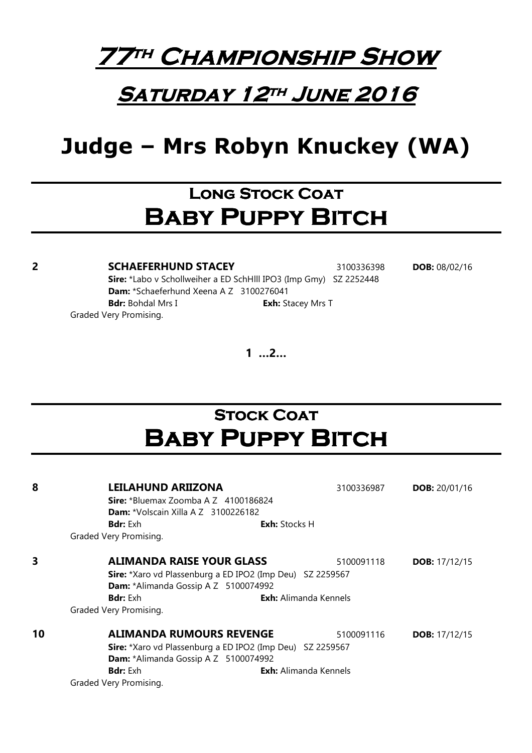

### SATURDAY 12TH JUNE 2016

# Judge – Mrs Robyn Knuckey (WA)

## LONG STOCK COAT **BABY PUPPY BITCH**

**2 SCHAEFERHUND STACEY** 3100336398 **DOB:** 08/02/16 Sire: \*Labo v Schollweiher a ED SchHlll IPO3 (Imp Gmy) SZ 2252448 Dam: \*Schaeferhund Xeena A Z 3100276041 **Bdr:** Bohdal Mrs I **Exh:** Stacey Mrs T Graded Very Promising.

1 …2…

# **STOCK COAT BABY PUPPY BITCH**

| 8  | <b>LEILAHUND ARIIZONA</b>                                 | 3100336987                   | <b>DOB:</b> 20/01/16   |  |
|----|-----------------------------------------------------------|------------------------------|------------------------|--|
|    | <b>Sire:</b> *Bluemax Zoomba A Z $4100186824$             |                              |                        |  |
|    | <b>Dam:</b> *Volscain Xilla A Z 3100226182                |                              |                        |  |
|    | <b>Bdr:</b> Exh                                           | <b>Exh:</b> Stocks H         |                        |  |
|    | Graded Very Promising.                                    |                              |                        |  |
| 3  | <b>ALIMANDA RAISE YOUR GLASS</b>                          | 5100091118                   | <b>DOB:</b> $17/12/15$ |  |
|    | Sire: *Xaro vd Plassenburg a ED IPO2 (Imp Deu) SZ 2259567 |                              |                        |  |
|    | Dam: *Alimanda Gossip A Z 5100074992                      |                              |                        |  |
|    | <b>Bdr:</b> Exh                                           | <b>Exh:</b> Alimanda Kennels |                        |  |
|    | Graded Very Promising.                                    |                              |                        |  |
| 10 | <b>ALIMANDA RUMOURS REVENGE</b>                           | 5100091116                   | <b>DOB:</b> $17/12/15$ |  |
|    | Sire: *Xaro vd Plassenburg a ED IPO2 (Imp Deu) SZ 2259567 |                              |                        |  |
|    | Dam: *Alimanda Gossip A Z 5100074992                      |                              |                        |  |
|    | <b>Bdr:</b> Exh                                           | <b>Exh:</b> Alimanda Kennels |                        |  |
|    | Graded Very Promising.                                    |                              |                        |  |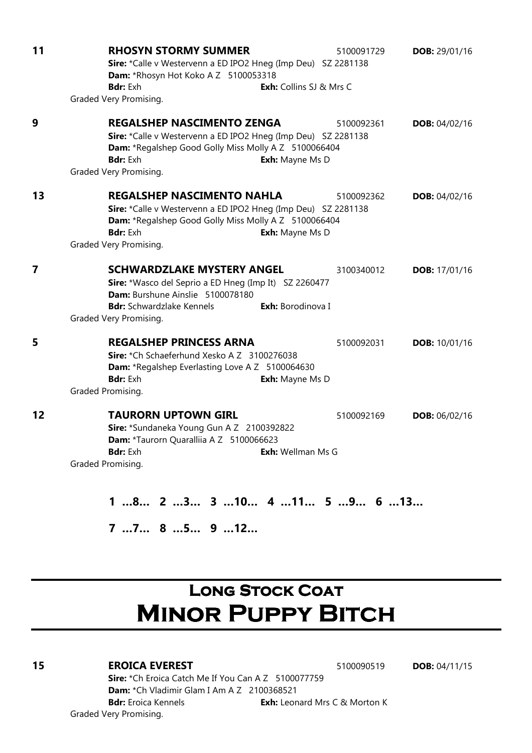| 11             | <b>RHOSYN STORMY SUMMER</b><br>5100091729<br>Sire: *Calle v Westervenn a ED IPO2 Hneg (Imp Deu) SZ 2281138<br>Dam: *Rhosyn Hot Koko A Z 5100053318<br><b>Bdr: Exh</b><br><b>Exh:</b> Collins SJ & Mrs C                                  | <b>DOB: 29/01/16</b> |
|----------------|------------------------------------------------------------------------------------------------------------------------------------------------------------------------------------------------------------------------------------------|----------------------|
|                | Graded Very Promising.                                                                                                                                                                                                                   |                      |
| 9              | <b>REGALSHEP NASCIMENTO ZENGA</b><br>5100092361<br>Sire: *Calle v Westervenn a ED IPO2 Hneg (Imp Deu) SZ 2281138<br>Dam: *Regalshep Good Golly Miss Molly A Z 5100066404<br><b>Bdr:</b> Exh<br>Exh: Mayne Ms D<br>Graded Very Promising. | <b>DOB: 04/02/16</b> |
| 13             | <b>REGALSHEP NASCIMENTO NAHLA</b><br>5100092362<br>Sire: *Calle v Westervenn a ED IPO2 Hneg (Imp Deu) SZ 2281138<br>Dam: *Regalshep Good Golly Miss Molly A Z 5100066404<br>Bdr: Exh<br>Exh: Mayne Ms D<br>Graded Very Promising.        | DOB: 04/02/16        |
| $\overline{7}$ | <b>SCHWARDZLAKE MYSTERY ANGEL</b><br>3100340012<br>Sire: *Wasco del Seprio a ED Hneg (Imp It) SZ 2260477<br>Dam: Burshune Ainslie 5100078180<br><b>Bdr:</b> Schwardzlake Kennels<br>Exh: Borodinova I<br>Graded Very Promising.          | <b>DOB:</b> 17/01/16 |
| 5              | <b>REGALSHEP PRINCESS ARNA</b><br>5100092031<br>Sire: *Ch Schaeferhund Xesko A Z 3100276038<br>Dam: *Regalshep Everlasting Love A Z 5100064630<br>Bdr: Exh<br>Exh: Mayne Ms D<br>Graded Promising.                                       | <b>DOB: 10/01/16</b> |
| 12             | <b>TAURORN UPTOWN GIRL</b><br>5100092169<br>Sire: *Sundaneka Young Gun A Z 2100392822<br>Dam: *Taurorn Quaralliia A Z 5100066623<br><b>Bdr:</b> Exh<br>Exh: Wellman Ms G<br>Graded Promising.                                            | <b>DOB: 06/02/16</b> |
|                | 1.<br>Э.<br>О<br>1Л<br>c.<br>11<br>$\mathbf{a}$<br>$\mathbf{A}$                                                                                                                                                                          | 19<br>$\epsilon$     |

1 …8… 2 …3… 3 …10… 4 …11… 5 …9… 6 …13…

7 …7… 8 …5… 9 …12…

# LONG STOCK COAT **MINOR PUPPY BITCH**

### **15 EROICA EVEREST** 5100090519 **DOB:** 04/11/15

Sire: \*Ch Eroica Catch Me If You Can A Z 5100077759 Dam: \*Ch Vladimir Glam I Am A Z 2100368521 **Bdr:** Eroica Kennels **Exh:** Leonard Mrs C & Morton K Graded Very Promising.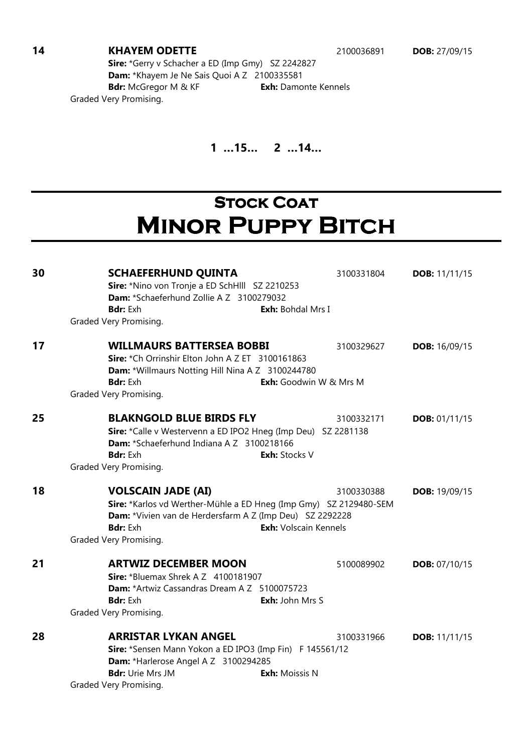#### **14 KHAYEM ODETTE** 2100036891 **DOB:** 27/09/15

Sire: \*Gerry v Schacher a ED (Imp Gmy) SZ 2242827 Dam: \*Khayem Je Ne Sais Quoi A Z 2100335581 Bdr: McGregor M & KF Exh: Damonte Kennels Graded Very Promising.

### 1 …15… 2 …14…

# **STOCK COAT MINOR PUPPY BITCH**

**30 SCHAEFERHUND QUINTA** 3100331804 **DOB:** 11/11/15 Sire: \*Nino von Tronje a ED SchHlll SZ 2210253 Dam: \*Schaeferhund Zollie A Z 3100279032 **Bdr:** Exh **Exh:** Bohdal Mrs I Graded Very Promising. **17 WILLMAURS BATTERSEA BOBBI** 3100329627 DOB: 16/09/15 Sire: \*Ch Orrinshir Elton John A Z ET 3100161863 Dam: \*Willmaurs Notting Hill Nina A Z 3100244780 **Bdr:** Exh **Exh:** Goodwin W & Mrs M Graded Very Promising. **25 BLAKNGOLD BLUE BIRDS FLY** 3100332171 **DOB:** 01/11/15 Sire: \*Calle v Westervenn a ED IPO2 Hneg (Imp Deu) SZ 2281138 Dam: \*Schaeferhund Indiana A Z 3100218166 **Bdr:** Exh **Exh:** Stocks V Graded Very Promising. **18 VOLSCAIN JADE (AI)** 3100330388 **DOB:** 19/09/15 Sire: \*Karlos vd Werther-Mühle a ED Hneg (Imp Gmy) SZ 2129480-SEM Dam: \*Vivien van de Herdersfarm A Z (Imp Deu) SZ 2292228 **Bdr:** Exh **Exh:** Volscain Kennels Graded Very Promising. **21 ARTWIZ DECEMBER MOON** 5100089902 **DOB:** 07/10/15 **Sire: \*Bluemax Shrek A Z 4100181907** Dam: \*Artwiz Cassandras Dream A Z 5100075723 Bdr: Exh **Exh:** John Mrs S Graded Very Promising. **28 ARRISTAR LYKAN ANGEL 3100331966 DOB: 11/11/15** Sire: \*Sensen Mann Yokon a ED IPO3 (Imp Fin) F 145561/12 Dam: \*Harlerose Angel A Z 3100294285 **Bdr:** Urie Mrs JM **Exh:** Moissis N Graded Very Promising.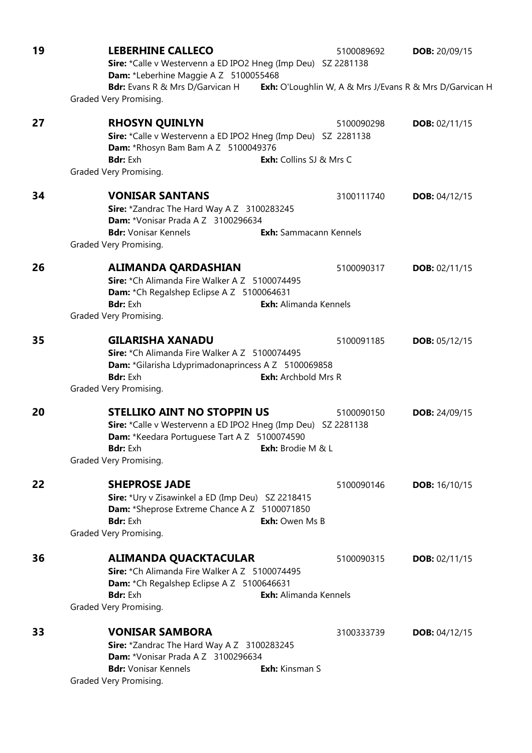| 19 | <b>LEBERHINE CALLECO</b><br>Sire: *Calle v Westervenn a ED IPO2 Hneg (Imp Deu) SZ 2281138<br>Dam: *Leberhine Maggie A Z 5100055468                                                                                              | 5100089692 | <b>DOB:</b> 20/09/15                                    |
|----|---------------------------------------------------------------------------------------------------------------------------------------------------------------------------------------------------------------------------------|------------|---------------------------------------------------------|
|    | <b>Bdr:</b> Evans R & Mrs D/Garvican H<br>Graded Very Promising.                                                                                                                                                                |            | Exh: O'Loughlin W, A & Mrs J/Evans R & Mrs D/Garvican H |
| 27 | <b>RHOSYN QUINLYN</b><br>Sire: *Calle v Westervenn a ED IPO2 Hneg (Imp Deu) SZ 2281138<br>Dam: *Rhosyn Bam Bam A Z 5100049376<br><b>Bdr:</b> Exh<br><b>Exh:</b> Collins SJ & Mrs C<br>Graded Very Promising.                    | 5100090298 | DOB: $02/11/15$                                         |
| 34 | <b>VONISAR SANTANS</b><br>Sire: *Zandrac The Hard Way A Z 3100283245<br>Dam: *Vonisar Prada A Z 3100296634<br>Exh: Sammacann Kennels<br><b>Bdr:</b> Vonisar Kennels                                                             | 3100111740 | <b>DOB: 04/12/15</b>                                    |
| 26 | Graded Very Promising.<br><b>ALIMANDA QARDASHIAN</b><br>Sire: *Ch Alimanda Fire Walker A Z 5100074495<br>Dam: *Ch Regalshep Eclipse A Z 5100064631<br><b>Bdr:</b> Exh<br><b>Exh:</b> Alimanda Kennels<br>Graded Very Promising. | 5100090317 | DOB: $02/11/15$                                         |
| 35 | <b>GILARISHA XANADU</b><br>Sire: *Ch Alimanda Fire Walker A Z 5100074495<br>Dam: *Gilarisha Ldyprimadonaprincess A Z 5100069858<br><b>Bdr:</b> Exh<br><b>Exh:</b> Archbold Mrs R<br>Graded Very Promising.                      | 5100091185 | DOB: $05/12/15$                                         |
| 20 | <b>STELLIKO AINT NO STOPPIN US</b><br>Sire: *Calle v Westervenn a ED IPO2 Hneg (Imp Deu) SZ 2281138<br>Dam: *Keedara Portuguese Tart A Z 5100074590<br>Exh: Brodie M & L<br><b>Bdr:</b> Exh<br>Graded Very Promising.           | 5100090150 | <b>DOB:</b> 24/09/15                                    |
| 22 | <b>SHEPROSE JADE</b><br>Sire: *Ury v Zisawinkel a ED (Imp Deu) SZ 2218415<br>Dam: *Sheprose Extreme Chance A Z 5100071850<br><b>Bdr:</b> Exh<br>Exh: Owen Ms B<br>Graded Very Promising.                                        | 5100090146 | <b>DOB:</b> 16/10/15                                    |
| 36 | <b>ALIMANDA QUACKTACULAR</b><br>Sire: *Ch Alimanda Fire Walker A Z 5100074495<br>Dam: *Ch Regalshep Eclipse A Z 5100646631<br><b>Exh:</b> Alimanda Kennels<br><b>Bdr:</b> Exh<br>Graded Very Promising.                         | 5100090315 | DOB: 02/11/15                                           |
| 33 | <b>VONISAR SAMBORA</b><br>Sire: *Zandrac The Hard Way A Z 3100283245<br>Dam: *Vonisar Prada A Z 3100296634<br><b>Bdr:</b> Vonisar Kennels<br>Exh: Kinsman S<br>Graded Very Promising.                                           | 3100333739 | <b>DOB:</b> $04/12/15$                                  |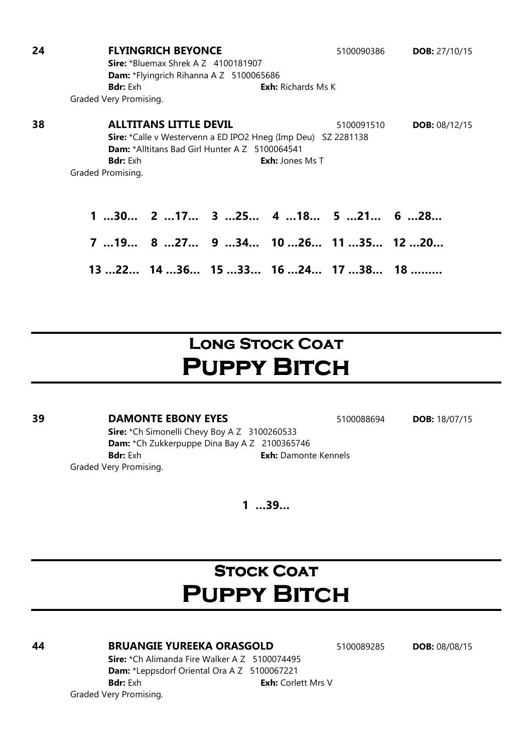| 24 | <b>FLYINGRICH BEYONCE</b>                                            | 5100090386 | <b>DOB:</b> $27/10/15$ |
|----|----------------------------------------------------------------------|------------|------------------------|
|    | <b>Sire:</b> *Bluemax Shrek $AZ$ 4100181907                          |            |                        |
|    | <b>Dam:</b> *Flyingrich Rihanna A Z 5100065686                       |            |                        |
|    | <b>Bdr:</b> Exh<br><b>Exh:</b> Richards Ms K                         |            |                        |
|    | Graded Very Promising.                                               |            |                        |
| 38 | <b>ALLTITANS LITTLE DEVIL</b>                                        | 5100091510 | <b>DOB: 08/12/15</b>   |
|    | <b>Sire:</b> *Calle v Westervenn a ED IPO2 Hneg (Imp Deu) SZ 2281138 |            |                        |
|    | <b>Dam:</b> *Alltitans Bad Girl Hunter A Z 5100064541                |            |                        |
|    | <b>Bdr:</b> Exh<br><b>Exh:</b> Jones Ms T                            |            |                        |
|    | Graded Promising.                                                    |            |                        |
|    |                                                                      |            |                        |
|    | $130$ $217$ $325$ $418$ $521$ $628$                                  |            |                        |
|    | 7 19 8 27 9 34 10 26 11 35 12 20                                     |            |                        |
|    | $1322$ $1436$ $1533$ $1624$ $1738$ $18$                              |            |                        |

# LONG STOCK COAT PUPPY BITCH

### **39 DAMONTE EBONY EYES** 5100088694 **DOB:** 18/07/15

Sire: \*Ch Simonelli Chevy Boy A Z 3100260533 Dam: \*Ch Zukkerpuppe Dina Bay A Z 2100365746 Bdr: Exh **Exh: Damonte Kennels** Graded Very Promising.

1 …39…

# **STOCK COAT PUPPY BITCH**

#### **44 BRUANGIE YUREEKA ORASGOLD** 5100089285 **DOB:** 08/08/15

Sire: \*Ch Alimanda Fire Walker A Z 5100074495 Dam: \*Leppsdorf Oriental Ora A Z 5100067221 **Bdr:** Exh **Exh:** Corlett Mrs V Graded Very Promising.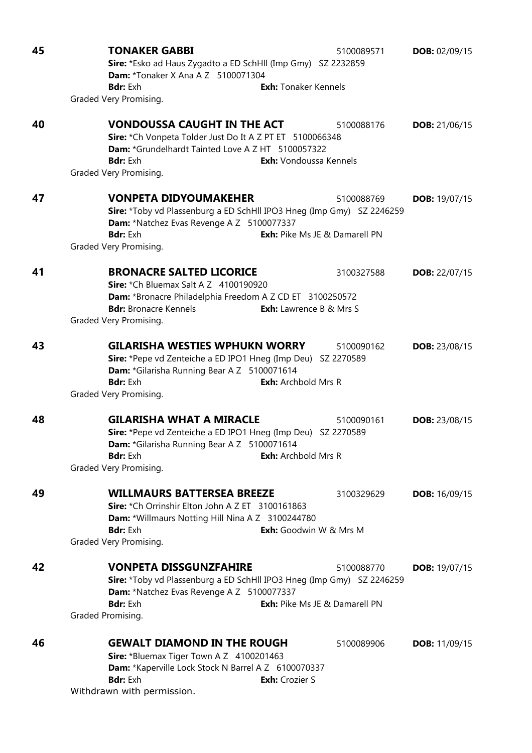| 45 | <b>TONAKER GABBI</b><br>5100089571<br>Sire: *Esko ad Haus Zygadto a ED SchHll (Imp Gmy) SZ 2232859<br><b>Dam:</b> *Tonaker X Ana A Z 5100071304                                                                                                       | <b>DOB: 02/09/15</b> |
|----|-------------------------------------------------------------------------------------------------------------------------------------------------------------------------------------------------------------------------------------------------------|----------------------|
|    | <b>Bdr:</b> Exh<br><b>Exh:</b> Tonaker Kennels<br>Graded Very Promising.                                                                                                                                                                              |                      |
| 40 | <b>VONDOUSSA CAUGHT IN THE ACT</b><br>5100088176<br>Sire: *Ch Vonpeta Tolder Just Do It A Z PT ET 5100066348<br>Dam: *Grundelhardt Tainted Love A Z HT 5100057322<br><b>Exh:</b> Vondoussa Kennels<br><b>Bdr:</b> Exh<br>Graded Very Promising.       | <b>DOB:</b> 21/06/15 |
| 47 | <b>VONPETA DIDYOUMAKEHER</b><br>5100088769<br>Sire: *Toby vd Plassenburg a ED SchHll IPO3 Hneg (Imp Gmy) SZ 2246259<br>Dam: *Natchez Evas Revenge A Z 5100077337<br><b>Bdr:</b> Exh<br><b>Exh:</b> Pike Ms JE & Damarell PN<br>Graded Very Promising. | <b>DOB:</b> 19/07/15 |
| 41 | <b>BRONACRE SALTED LICORICE</b><br>3100327588<br>Sire: *Ch Bluemax Salt A Z 4100190920<br>Dam: *Bronacre Philadelphia Freedom A Z CD ET 3100250572<br><b>Bdr:</b> Bronacre Kennels<br><b>Exh:</b> Lawrence B & Mrs S<br>Graded Very Promising.        | <b>DOB:</b> 22/07/15 |
| 43 | <b>GILARISHA WESTIES WPHUKN WORRY</b><br>5100090162<br>Sire: *Pepe vd Zenteiche a ED IPO1 Hneg (Imp Deu) SZ 2270589<br>Dam: *Gilarisha Running Bear A Z 5100071614<br><b>Bdr:</b> Exh<br><b>Exh:</b> Archbold Mrs R<br>Graded Very Promising.         | <b>DOB:</b> 23/08/15 |
| 48 | <b>GILARISHA WHAT A MIRACLE</b><br>5100090161<br>Sire: *Pepe vd Zenteiche a ED IPO1 Hneg (Imp Deu) SZ 2270589<br>Dam: *Gilarisha Running Bear A Z 5100071614<br><b>Exh:</b> Archbold Mrs R<br><b>Bdr:</b> Exh<br>Graded Very Promising.               | <b>DOB:</b> 23/08/15 |
| 49 | <b>WILLMAURS BATTERSEA BREEZE</b><br>3100329629<br>Sire: *Ch Orrinshir Elton John A Z ET 3100161863<br>Dam: *Willmaurs Notting Hill Nina A Z 3100244780<br><b>Exh:</b> Goodwin W & Mrs M<br><b>Bdr:</b> Exh<br>Graded Very Promising.                 | <b>DOB:</b> 16/09/15 |
| 42 | <b>VONPETA DISSGUNZFAHIRE</b><br>5100088770<br>Sire: *Toby vd Plassenburg a ED SchHll IPO3 Hneg (Imp Gmy) SZ 2246259<br>Dam: *Natchez Evas Revenge A Z 5100077337<br>Exh: Pike Ms JE & Damarell PN<br><b>Bdr:</b> Exh<br>Graded Promising.            | <b>DOB:</b> 19/07/15 |
| 46 | <b>GEWALT DIAMOND IN THE ROUGH</b><br>5100089906<br>Sire: *Bluemax Tiger Town A Z 4100201463<br>Dam: *Kaperville Lock Stock N Barrel A Z 6100070337<br><b>Bdr:</b> Exh<br>Exh: Crozier S<br>Withdrawn with permission.                                | <b>DOB:</b> 11/09/15 |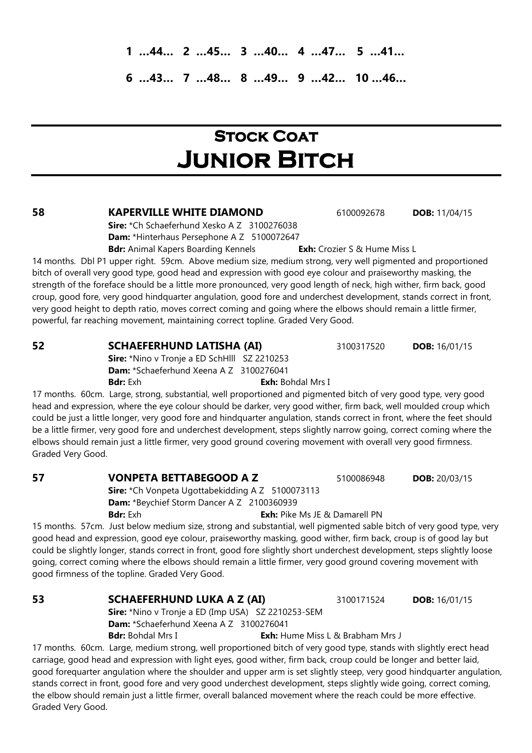1 …44… 2 …45… 3 …40… 4 …47… 5 …41…

6 …43… 7 …48… 8 …49… 9 …42… 10 …46…

# **STOCK COAT** Junior Bitch

#### **58 KAPERVILLE WHITE DIAMOND** 6100092678 **DOB:** 11/04/15

Sire: \*Ch Schaeferhund Xesko A Z 3100276038 Dam: \*Hinterhaus Persephone A Z 5100072647 **Bdr:** Animal Kapers Boarding Kennels **Exh:** Crozier S & Hume Miss L

14 months. Dbl P1 upper right. 59cm. Above medium size, medium strong, very well pigmented and proportioned bitch of overall very good type, good head and expression with good eye colour and praiseworthy masking, the strength of the foreface should be a little more pronounced, very good length of neck, high wither, firm back, good croup, good fore, very good hindquarter angulation, good fore and underchest development, stands correct in front, very good height to depth ratio, moves correct coming and going where the elbows should remain a little firmer, powerful, far reaching movement, maintaining correct topline. Graded Very Good.

#### **52 SCHAEFERHUND LATISHA (AI)** 3100317520 **DOB:** 16/01/15

Sire: \*Nino v Tronie a ED SchHlll SZ 2210253 Dam: \*Schaeferhund Xeena A Z 3100276041

**Bdr:** Exh: Bohdal Mrs I

17 months. 60cm. Large, strong, substantial, well proportioned and pigmented bitch of very good type, very good head and expression, where the eye colour should be darker, very good wither, firm back, well moulded croup which could be just a little longer, very good fore and hindquarter angulation, stands correct in front, where the feet should be a little firmer, very good fore and underchest development, steps slightly narrow going, correct coming where the elbows should remain just a little firmer, very good ground covering movement with overall very good firmness. Graded Very Good.

#### 57 VONPETA BETTABEGOOD A Z 5100086948 DOB: 20/03/15

Sire: \*Ch Vonpeta Ugottabekidding A Z 5100073113 Dam: \*Beychief Storm Dancer A Z 2100360939

**Bdr:** Exh **Exh:** Pike Ms JE & Damarell PN 15 months. 57cm. Just below medium size, strong and substantial, well pigmented sable bitch of very good type, very

good head and expression, good eye colour, praiseworthy masking, good wither, firm back, croup is of good lay but could be slightly longer, stands correct in front, good fore slightly short underchest development, steps slightly loose going, correct coming where the elbows should remain a little firmer, very good ground covering movement with good firmness of the topline. Graded Very Good.

Sire: \*Nino v Tronie a ED (Imp USA) SZ 2210253-SEM Dam: \*Schaeferhund Xeena A Z 3100276041 **Bdr:** Bohdal Mrs I **Exh:** Hume Miss L & Brabham Mrs J

17 months. 60cm. Large, medium strong, well proportioned bitch of very good type, stands with slightly erect head carriage, good head and expression with light eyes, good wither, firm back, croup could be longer and better laid, good forequarter angulation where the shoulder and upper arm is set slightly steep, very good hindquarter angulation, stands correct in front, good fore and very good underchest development, steps slightly wide going, correct coming, the elbow should remain just a little firmer, overall balanced movement where the reach could be more effective. Graded Very Good.

**53 SCHAEFERHUND LUKA A Z (AI)** 3100171524 **DOB:** 16/01/15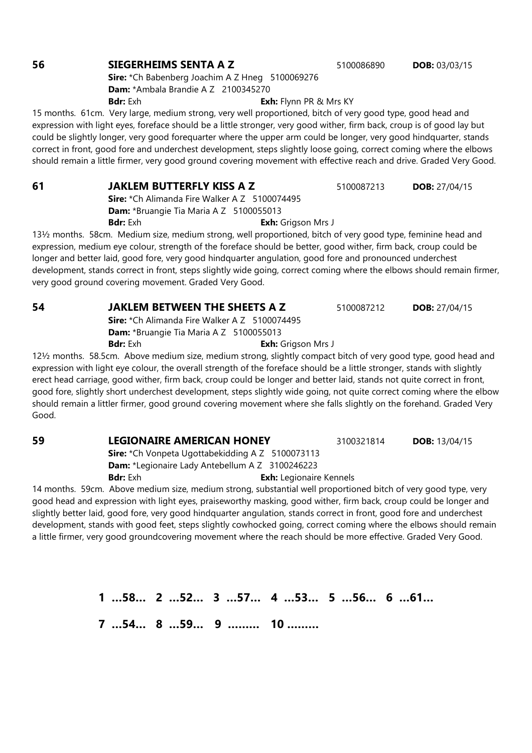### **56 SIEGERHEIMS SENTA A Z** 5100086890 **DOB:** 03/03/15

Sire: \*Ch Babenberg Joachim A Z Hneg 5100069276 Dam: \*Ambala Brandie A Z 2100345270 **Bdr:** Exh **Exh:** Flynn PR & Mrs KY

15 months. 61cm. Very large, medium strong, very well proportioned, bitch of very good type, good head and expression with light eyes, foreface should be a little stronger, very good wither, firm back, croup is of good lay but could be slightly longer, very good forequarter where the upper arm could be longer, very good hindquarter, stands correct in front, good fore and underchest development, steps slightly loose going, correct coming where the elbows should remain a little firmer, very good ground covering movement with effective reach and drive. Graded Very Good.

**61 JAKLEM BUTTERFLY KISS A Z** 5100087213 **DOB:** 27/04/15 Sire: \*Ch Alimanda Fire Walker A Z 5100074495 Dam: \*Bruangie Tia Maria A Z 5100055013 **Bdr:** Exh **Exh:** Grigson Mrs J

13½ months. 58cm. Medium size, medium strong, well proportioned, bitch of very good type, feminine head and expression, medium eye colour, strength of the foreface should be better, good wither, firm back, croup could be longer and better laid, good fore, very good hindquarter angulation, good fore and pronounced underchest development, stands correct in front, steps slightly wide going, correct coming where the elbows should remain firmer, very good ground covering movement. Graded Very Good.

**54 JAKLEM BETWEEN THE SHEETS A Z** 5100087212 **DOB:** 27/04/15 Sire: \*Ch Alimanda Fire Walker A Z 5100074495 Dam: \*Bruangie Tia Maria A Z 5100055013 **Bdr:** Exh **Exh:** Grigson Mrs J

12½ months. 58.5cm. Above medium size, medium strong, slightly compact bitch of very good type, good head and expression with light eye colour, the overall strength of the foreface should be a little stronger, stands with slightly erect head carriage, good wither, firm back, croup could be longer and better laid, stands not quite correct in front, good fore, slightly short underchest development, steps slightly wide going, not quite correct coming where the elbow should remain a littler firmer, good ground covering movement where she falls slightly on the forehand. Graded Very Good.

**59 LEGIONAIRE AMERICAN HONEY** 3100321814 **DOB:** 13/04/15 Sire: \*Ch Vonpeta Ugottabekidding A Z 5100073113 Dam: \*Legionaire Lady Antebellum A Z 3100246223 Bdr: Exh Exh: Legionaire Kennels

14 months. 59cm. Above medium size, medium strong, substantial well proportioned bitch of very good type, very good head and expression with light eyes, praiseworthy masking, good wither, firm back, croup could be longer and slightly better laid, good fore, very good hindquarter angulation, stands correct in front, good fore and underchest development, stands with good feet, steps slightly cowhocked going, correct coming where the elbows should remain a little firmer, very good groundcovering movement where the reach should be more effective. Graded Very Good.

1 …58… 2 …52… 3 …57… 4 …53… 5 …56… 6 …61…

7 …54… 8 …59… 9 ……… 10 ………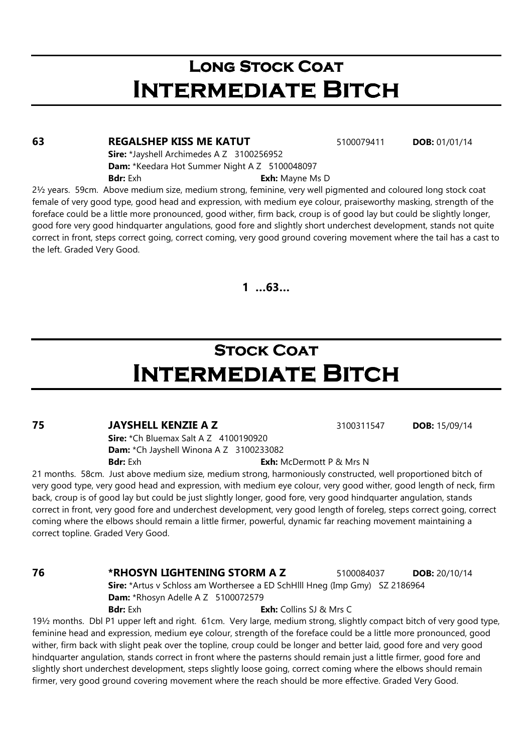## LONG STOCK COAT Intermediate Bitch

#### **63 REGALSHEP KISS ME KATUT** 5100079411 **DOB:** 01/01/14

Sire: \*Jayshell Archimedes A Z 3100256952 Dam: \*Keedara Hot Summer Night A Z 5100048097 **Bdr:** Exh **Exh:** Mayne Ms D

2½ years. 59cm. Above medium size, medium strong, feminine, very well pigmented and coloured long stock coat female of very good type, good head and expression, with medium eye colour, praiseworthy masking, strength of the foreface could be a little more pronounced, good wither, firm back, croup is of good lay but could be slightly longer, good fore very good hindquarter angulations, good fore and slightly short underchest development, stands not quite correct in front, steps correct going, correct coming, very good ground covering movement where the tail has a cast to the left. Graded Very Good.

1 …63…

# **STOCK COAT** Intermediate Bitch

### **75 JAYSHELL KENZIE A Z** 3100311547 **DOB:** 15/09/14

**Sire:** \*Ch Bluemax Salt A Z 4100190920 Dam: \*Ch Jayshell Winona A Z 3100233082 **Bdr:** Exh **Exh:** McDermott P & Mrs N

21 months. 58cm. Just above medium size, medium strong, harmoniously constructed, well proportioned bitch of very good type, very good head and expression, with medium eye colour, very good wither, good length of neck, firm back, croup is of good lay but could be just slightly longer, good fore, very good hindquarter angulation, stands correct in front, very good fore and underchest development, very good length of foreleg, steps correct going, correct coming where the elbows should remain a little firmer, powerful, dynamic far reaching movement maintaining a correct topline. Graded Very Good.

#### 76 \*RHOSYN LIGHTENING STORM A Z 5100084037 DOB: 20/10/14

Sire: \*Artus v Schloss am Worthersee a ED SchHlll Hneg (Imp Gmy) SZ 2186964 Dam: \*Rhosyn Adelle A Z 5100072579 **Bdr:** Exh: Collins SJ & Mrs C

19½ months. Dbl P1 upper left and right. 61cm. Very large, medium strong, slightly compact bitch of very good type, feminine head and expression, medium eye colour, strength of the foreface could be a little more pronounced, good wither, firm back with slight peak over the topline, croup could be longer and better laid, good fore and very good hindquarter angulation, stands correct in front where the pasterns should remain just a little firmer, good fore and slightly short underchest development, steps slightly loose going, correct coming where the elbows should remain firmer, very good ground covering movement where the reach should be more effective. Graded Very Good.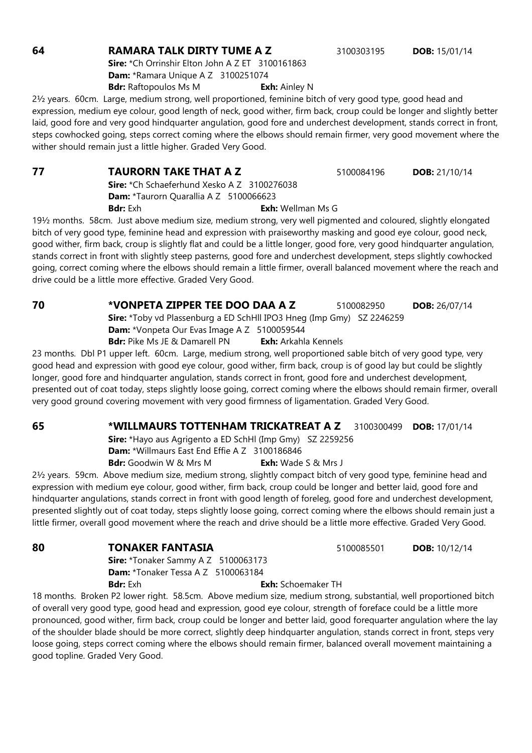**64 RAMARA TALK DIRTY TUME A Z** 3100303195 **DOB:** 15/01/14

Sire: \*Ch Orrinshir Elton John A Z ET 3100161863 Dam: \*Ramara Unique A Z 3100251074 **Bdr:** Raftopoulos Ms M **Exh:** Ainley N

2½ years. 60cm. Large, medium strong, well proportioned, feminine bitch of very good type, good head and expression, medium eye colour, good length of neck, good wither, firm back, croup could be longer and slightly better laid, good fore and very good hindquarter angulation, good fore and underchest development, stands correct in front, steps cowhocked going, steps correct coming where the elbows should remain firmer, very good movement where the wither should remain just a little higher. Graded Very Good.

**77 TAURORN TAKE THAT A Z** 5100084196 **DOB:** 21/10/14 Sire: \*Ch Schaeferhund Xesko A Z 3100276038 Dam: \*Taurorn Quarallia A Z 5100066623 **Bdr:** Exh **Exh:** Wellman Ms G

19½ months. 58cm. Just above medium size, medium strong, very well pigmented and coloured, slightly elongated bitch of very good type, feminine head and expression with praiseworthy masking and good eye colour, good neck, good wither, firm back, croup is slightly flat and could be a little longer, good fore, very good hindquarter angulation, stands correct in front with slightly steep pasterns, good fore and underchest development, steps slightly cowhocked going, correct coming where the elbows should remain a little firmer, overall balanced movement where the reach and drive could be a little more effective. Graded Very Good.

**70 \*VONPETA ZIPPER TEE DOO DAA A Z 5100082950 DOB: 26/07/14** Sire: \*Toby vd Plassenburg a ED SchHll IPO3 Hneg (Imp Gmy) SZ 2246259 Dam: \*Vonpeta Our Evas Image A Z 5100059544 **Bdr:** Pike Ms JE & Damarell PN **Exh:** Arkahla Kennels

23 months. Dbl P1 upper left. 60cm. Large, medium strong, well proportioned sable bitch of very good type, very good head and expression with good eye colour, good wither, firm back, croup is of good lay but could be slightly longer, good fore and hindquarter angulation, stands correct in front, good fore and underchest development, presented out of coat today, steps slightly loose going, correct coming where the elbows should remain firmer, overall very good ground covering movement with very good firmness of ligamentation. Graded Very Good.

### 65 \*WILLMAURS TOTTENHAM TRICKATREAT A Z 3100300499 DOB: 17/01/14

Sire: \*Hayo aus Agrigento a ED SchHl (Imp Gmy) SZ 2259256 Dam: \*Willmaurs East End Effie A Z 3100186846 **Bdr:** Goodwin W & Mrs M **Exh:** Wade S & Mrs J

2½ years. 59cm. Above medium size, medium strong, slightly compact bitch of very good type, feminine head and expression with medium eye colour, good wither, firm back, croup could be longer and better laid, good fore and hindquarter angulations, stands correct in front with good length of foreleg, good fore and underchest development, presented slightly out of coat today, steps slightly loose going, correct coming where the elbows should remain just a little firmer, overall good movement where the reach and drive should be a little more effective. Graded Very Good.

> Sire: \*Tonaker Sammy A Z 5100063173 Dam: \*Tonaker Tessa A Z 5100063184 **Bdr:** Exh **Exh:** Schoemaker TH

18 months. Broken P2 lower right. 58.5cm. Above medium size, medium strong, substantial, well proportioned bitch of overall very good type, good head and expression, good eye colour, strength of foreface could be a little more pronounced, good wither, firm back, croup could be longer and better laid, good forequarter angulation where the lay of the shoulder blade should be more correct, slightly deep hindquarter angulation, stands correct in front, steps very loose going, steps correct coming where the elbows should remain firmer, balanced overall movement maintaining a good topline. Graded Very Good.

**80 TONAKER FANTASIA 5100085501 DOB:** 10/12/14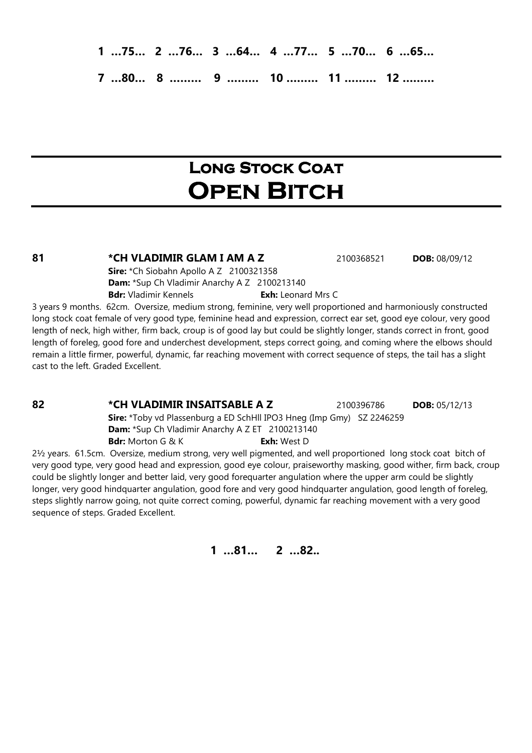1 …75… 2 …76… 3 …64… 4 …77… 5 …70… 6 …65…

7 …80… 8 ……… 9 ……… 10 ……… 11 ……… 12 ………

# Long Stock Coat **OPEN BITCH**

81 **\*CH VLADIMIR GLAM I AM A Z** 2100368521 **DOB:** 08/09/12

Sire: \*Ch Siobahn Apollo A Z 2100321358 Dam: \*Sup Ch Vladimir Anarchy A Z 2100213140 Bdr: Vladimir Kennels **Exh:** Leonard Mrs C

3 years 9 months. 62cm. Oversize, medium strong, feminine, very well proportioned and harmoniously constructed long stock coat female of very good type, feminine head and expression, correct ear set, good eye colour, very good length of neck, high wither, firm back, croup is of good lay but could be slightly longer, stands correct in front, good length of foreleg, good fore and underchest development, steps correct going, and coming where the elbows should remain a little firmer, powerful, dynamic, far reaching movement with correct sequence of steps, the tail has a slight cast to the left. Graded Excellent.

**82 • CH VLADIMIR INSAITSABLE A Z** 2100396786 **DOB:** 05/12/13

Sire: \*Toby vd Plassenburg a ED SchHll IPO3 Hneg (Imp Gmy) SZ 2246259 Dam: \*Sup Ch Vladimir Anarchy A Z ET 2100213140 **Bdr:** Morton G & K **Exh:** West D

2½ years. 61.5cm. Oversize, medium strong, very well pigmented, and well proportioned long stock coat bitch of very good type, very good head and expression, good eye colour, praiseworthy masking, good wither, firm back, croup could be slightly longer and better laid, very good forequarter angulation where the upper arm could be slightly longer, very good hindquarter angulation, good fore and very good hindquarter angulation, good length of foreleg, steps slightly narrow going, not quite correct coming, powerful, dynamic far reaching movement with a very good sequence of steps. Graded Excellent.

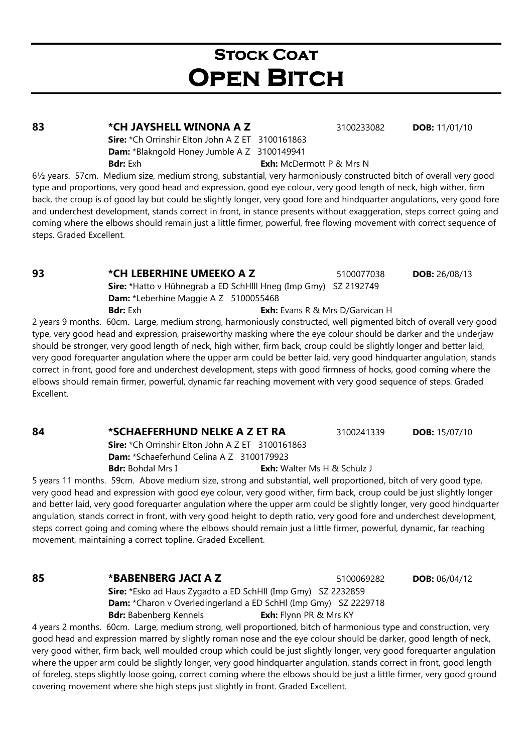# **STOCK COAT OPEN BITCH**

### 83 **\*CH JAYSHELL WINONA A Z** 3100233082 **DOB:** 11/01/10

Sire: \*Ch Orrinshir Elton John A Z ET 3100161863 Dam: \*Blakngold Honey Jumble A Z 3100149941 **Bdr:** Exh: McDermott P & Mrs N

6½ years. 57cm. Medium size, medium strong, substantial, very harmoniously constructed bitch of overall very good type and proportions, very good head and expression, good eye colour, very good length of neck, high wither, firm back, the croup is of good lay but could be slightly longer, very good fore and hindquarter angulations, very good fore and underchest development, stands correct in front, in stance presents without exaggeration, steps correct going and coming where the elbows should remain just a little firmer, powerful, free flowing movement with correct sequence of steps. Graded Excellent.

**93** \* CH LEBERHINE UMEEKO A Z 5100077038 DOB: 26/08/13 Sire: \*Hatto v Hühnegrab a ED SchHlll Hneg (Imp Gmy) SZ 2192749 Dam: \*Leberhine Maggie A Z 5100055468 **Bdr:** Exh **Exh:** Evans R & Mrs D/Garvican H

2 years 9 months. 60cm. Large, medium strong, harmoniously constructed, well pigmented bitch of overall very good type, very good head and expression, praiseworthy masking where the eye colour should be darker and the underjaw should be stronger, very good length of neck, high wither, firm back, croup could be slightly longer and better laid, very good forequarter angulation where the upper arm could be better laid, very good hindquarter angulation, stands correct in front, good fore and underchest development, steps with good firmness of hocks, good coming where the elbows should remain firmer, powerful, dynamic far reaching movement with very good sequence of steps. Graded Excellent.

### **84** \*SCHAEFERHUND NELKE A Z ET RA 3100241339 DOB: 15/07/10

Sire: \*Ch Orrinshir Elton John A Z ET 3100161863 Dam: \*Schaeferhund Celina A Z 3100179923 **Bdr:** Bohdal Mrs I **Exh:** Walter Ms H & Schulz J

5 years 11 months. 59cm. Above medium size, strong and substantial, well proportioned, bitch of very good type, very good head and expression with good eye colour, very good wither, firm back, croup could be just slightly longer and better laid, very good forequarter angulation where the upper arm could be slightly longer, very good hindquarter angulation, stands correct in front, with very good height to depth ratio, very good fore and underchest development, steps correct going and coming where the elbows should remain just a little firmer, powerful, dynamic, far reaching movement, maintaining a correct topline. Graded Excellent.

#### 85 \* **BABENBERG JACI A Z** 5100069282 **DOB:** 06/04/12

Sire: \*Esko ad Haus Zygadto a ED SchHll (Imp Gmy) SZ 2232859 Dam: \*Charon v Overledingerland a ED SchHl (Imp Gmy) SZ 2229718 Bdr: Babenberg Kennels **Exh:** Flynn PR & Mrs KY

4 years 2 months. 60cm. Large, medium strong, well proportioned, bitch of harmonious type and construction, very good head and expression marred by slightly roman nose and the eye colour should be darker, good length of neck, very good wither, firm back, well moulded croup which could be just slightly longer, very good forequarter angulation where the upper arm could be slightly longer, very good hindquarter angulation, stands correct in front, good length of foreleg, steps slightly loose going, correct coming where the elbows should be just a little firmer, very good ground covering movement where she high steps just slightly in front. Graded Excellent.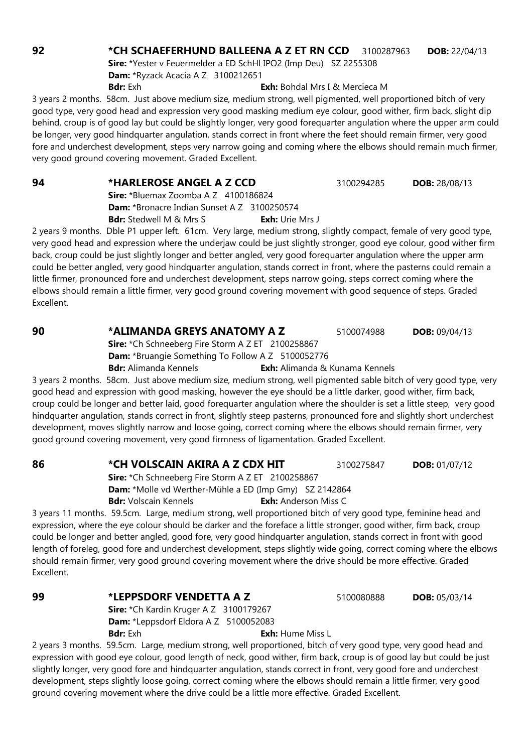#### 92 **\*CH SCHAEFERHUND BALLEENA A Z ET RN CCD** 3100287963 **DOB:** 22/04/13

Sire: \*Yester v Feuermelder a ED SchHl IPO2 (Imp Deu) SZ 2255308 Dam: \*Ryzack Acacia A Z 3100212651 **Bdr:** Exh **Exh:** Bohdal Mrs I & Mercieca M

3 years 2 months. 58cm. Just above medium size, medium strong, well pigmented, well proportioned bitch of very good type, very good head and expression very good masking medium eye colour, good wither, firm back, slight dip behind, croup is of good lay but could be slightly longer, very good forequarter angulation where the upper arm could be longer, very good hindquarter angulation, stands correct in front where the feet should remain firmer, very good fore and underchest development, steps very narrow going and coming where the elbows should remain much firmer, very good ground covering movement. Graded Excellent.

#### 94 \*HARLEROSE ANGEL A Z CCD 3100294285 DOB: 28/08/13

Sire: \*Bluemax Zoomba A Z 4100186824 Dam: \*Bronacre Indian Sunset A Z 3100250574

Bdr: Stedwell M & Mrs S Exh: Urie Mrs J

2 years 9 months. Dble P1 upper left. 61cm. Very large, medium strong, slightly compact, female of very good type, very good head and expression where the underjaw could be just slightly stronger, good eye colour, good wither firm back, croup could be just slightly longer and better angled, very good forequarter angulation where the upper arm could be better angled, very good hindquarter angulation, stands correct in front, where the pasterns could remain a little firmer, pronounced fore and underchest development, steps narrow going, steps correct coming where the elbows should remain a little firmer, very good ground covering movement with good sequence of steps. Graded Excellent.

### **90 \*ALIMANDA GREYS ANATOMY A Z** 5100074988 **DOB:** 09/04/13

Sire: \*Ch Schneeberg Fire Storm A Z ET 2100258867

Dam: \*Bruangie Something To Follow A Z 5100052776

**Bdr:** Alimanda Kennels **Exh:** Alimanda & Kunama Kennels

3 years 2 months. 58cm. Just above medium size, medium strong, well pigmented sable bitch of very good type, very good head and expression with good masking, however the eye should be a little darker, good wither, firm back, croup could be longer and better laid, good forequarter angulation where the shoulder is set a little steep, very good hindquarter angulation, stands correct in front, slightly steep pasterns, pronounced fore and slightly short underchest development, moves slightly narrow and loose going, correct coming where the elbows should remain firmer, very good ground covering movement, very good firmness of ligamentation. Graded Excellent.

### 86 \*CH VOLSCAIN AKIRA A Z CDX HIT 3100275847 DOB: 01/07/12

Sire: \*Ch Schneeberg Fire Storm A Z ET 2100258867 Dam: \*Molle vd Werther-Mühle a ED (Imp Gmy) SZ 2142864 **Bdr:** Volscain Kennels **Exh:** Anderson Miss C

3 years 11 months. 59.5cm. Large, medium strong, well proportioned bitch of very good type, feminine head and expression, where the eye colour should be darker and the foreface a little stronger, good wither, firm back, croup could be longer and better angled, good fore, very good hindquarter angulation, stands correct in front with good length of foreleg, good fore and underchest development, steps slightly wide going, correct coming where the elbows should remain firmer, very good ground covering movement where the drive should be more effective. Graded Excellent.

### **99 \*LEPPSDORF VENDETTA A Z** 5100080888 **DOB:** 05/03/14

Sire: \*Ch Kardin Kruger A Z 3100179267 Dam: \*Leppsdorf Eldora A Z 5100052083 **Bdr:** Exh **Exh:** Hume Miss L

2 years 3 months. 59.5cm. Large, medium strong, well proportioned, bitch of very good type, very good head and expression with good eye colour, good length of neck, good wither, firm back, croup is of good lay but could be just slightly longer, very good fore and hindquarter angulation, stands correct in front, very good fore and underchest development, steps slightly loose going, correct coming where the elbows should remain a little firmer, very good ground covering movement where the drive could be a little more effective. Graded Excellent.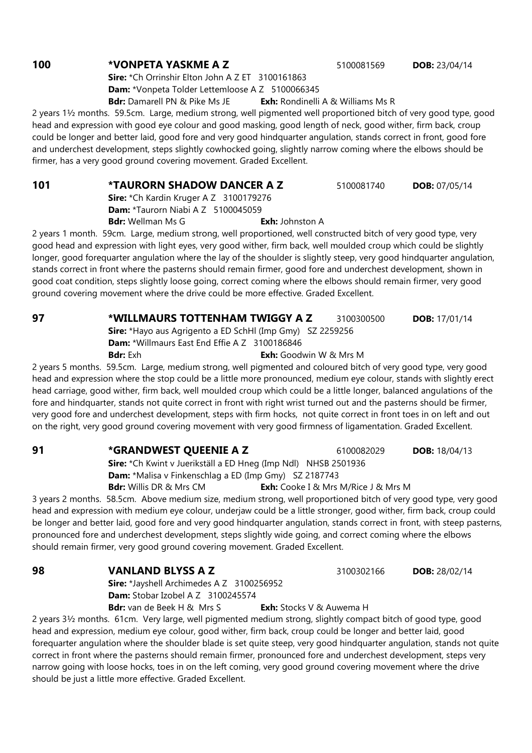### **100 \*VONPETA YASKME A Z 5100081569 DOB: 23/04/14**

Sire: \*Ch Orrinshir Elton John A Z ET 3100161863 Dam: \*Vonpeta Tolder Lettemloose A Z 5100066345

Bdr: Damarell PN & Pike Ms JE Exh: Rondinelli A & Williams Ms R

2 years 1½ months. 59.5cm. Large, medium strong, well pigmented well proportioned bitch of very good type, good head and expression with good eye colour and good masking, good length of neck, good wither, firm back, croup could be longer and better laid, good fore and very good hindquarter angulation, stands correct in front, good fore and underchest development, steps slightly cowhocked going, slightly narrow coming where the elbows should be firmer, has a very good ground covering movement. Graded Excellent.

**101 \*TAURORN SHADOW DANCER A Z 5100081740 DOB: 07/05/14** Sire: \*Ch Kardin Kruger A Z 3100179276 Dam: \*Taurorn Niabi A Z 5100045059 **Bdr:** Wellman Ms G **Exh:** Johnston A

2 years 1 month. 59cm. Large, medium strong, well proportioned, well constructed bitch of very good type, very good head and expression with light eyes, very good wither, firm back, well moulded croup which could be slightly longer, good forequarter angulation where the lay of the shoulder is slightly steep, very good hindquarter angulation, stands correct in front where the pasterns should remain firmer, good fore and underchest development, shown in good coat condition, steps slightly loose going, correct coming where the elbows should remain firmer, very good ground covering movement where the drive could be more effective. Graded Excellent.

**97 • \*WILLMAURS TOTTENHAM TWIGGY A Z** 3100300500 **DOB:** 17/01/14

Sire: \*Hayo aus Agrigento a ED SchHl (Imp Gmy) SZ 2259256 Dam: \*Willmaurs East End Effie A Z 3100186846

**Bdr:** Exh **Exh:** Goodwin W & Mrs M

2 years 5 months. 59.5cm. Large, medium strong, well pigmented and coloured bitch of very good type, very good head and expression where the stop could be a little more pronounced, medium eye colour, stands with slightly erect head carriage, good wither, firm back, well moulded croup which could be a little longer, balanced angulations of the fore and hindquarter, stands not quite correct in front with right wrist turned out and the pasterns should be firmer, very good fore and underchest development, steps with firm hocks, not quite correct in front toes in on left and out on the right, very good ground covering movement with very good firmness of ligamentation. Graded Excellent.

**91** \*GRANDWEST QUEENIE A Z 6100082029 DOB: 18/04/13

Sire: \*Ch Kwint v Juerikställ a ED Hneg (Imp Ndl) NHSB 2501936 Dam: \*Malisa v Finkenschlag a ED (Imp Gmy) SZ 2187743 **Bdr:** Willis DR & Mrs CM **Exh:** Cooke I & Mrs M/Rice J & Mrs M

3 years 2 months. 58.5cm. Above medium size, medium strong, well proportioned bitch of very good type, very good head and expression with medium eye colour, underjaw could be a little stronger, good wither, firm back, croup could be longer and better laid, good fore and very good hindquarter angulation, stands correct in front, with steep pasterns, pronounced fore and underchest development, steps slightly wide going, and correct coming where the elbows should remain firmer, very good ground covering movement. Graded Excellent.

**98 VANLAND BLYSS A Z** 3100302166 **DOB:** 28/02/14

Sire: \*Jayshell Archimedes A Z 3100256952 Dam: Stobar Izobel A Z 3100245574

**Bdr:** van de Beek H & Mrs S **Exh:** Stocks V & Auwema H

2 years 3½ months. 61cm. Very large, well pigmented medium strong, slightly compact bitch of good type, good head and expression, medium eye colour, good wither, firm back, croup could be longer and better laid, good forequarter angulation where the shoulder blade is set quite steep, very good hindquarter angulation, stands not quite correct in front where the pasterns should remain firmer, pronounced fore and underchest development, steps very narrow going with loose hocks, toes in on the left coming, very good ground covering movement where the drive should be just a little more effective. Graded Excellent.

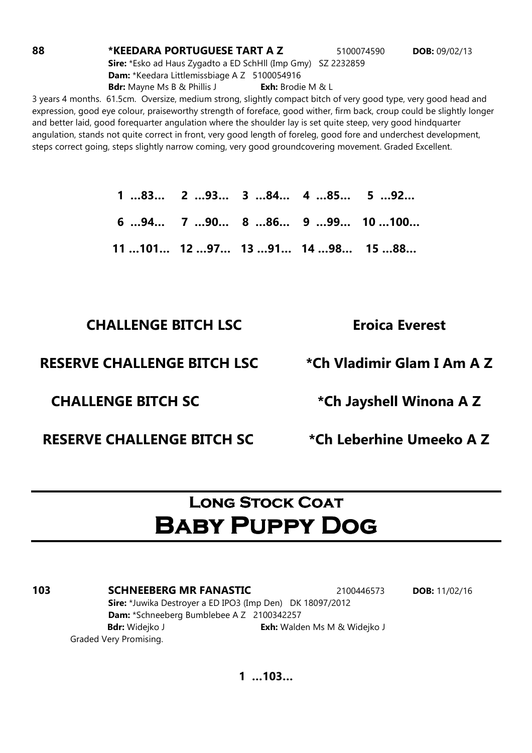**88 \*KEEDARA PORTUGUESE TART A Z 5100074590 DOB: 09/02/13** 

Sire: \*Esko ad Haus Zygadto a ED SchHll (Imp Gmy) SZ 2232859 Dam: \*Keedara Littlemissbiage A Z 5100054916 **Bdr:** Mayne Ms B & Phillis J **Exh:** Brodie M & L

3 years 4 months. 61.5cm. Oversize, medium strong, slightly compact bitch of very good type, very good head and expression, good eye colour, praiseworthy strength of foreface, good wither, firm back, croup could be slightly longer and better laid, good forequarter angulation where the shoulder lay is set quite steep, very good hindquarter angulation, stands not quite correct in front, very good length of foreleg, good fore and underchest development, steps correct going, steps slightly narrow coming, very good groundcovering movement. Graded Excellent.

> 1 …83… 2 …93… 3 …84… 4 …85… 5 …92… 6 …94… 7 …90… 8 …86… 9 …99… 10 …100… 11 …101… 12 …97… 13 …91… 14 …98… 15 …88…

### CHALLENGE BITCH LSC Eroica Everest

### RESERVE CHALLENGE BITCH LSC \*Ch Vladimir Glam I Am A Z

RESERVE CHALLENGE BITCH SC \* The Leberhine Umeeko A Z

CHALLENGE BITCH SC \* The state of the Jayshell Winona A Z

### **LONG STOCK COAT** Baby Puppy Dog

**103 SCHNEEBERG MR FANASTIC** 2100446573 **DOB:** 11/02/16 Sire: \*Juwika Destroyer a ED IPO3 (Imp Den) DK 18097/2012 Dam: \*Schneeberg Bumblebee A Z 2100342257 Bdr: Widejko J **Exh:** Walden Ms M & Widejko J Graded Very Promising.

1 …103…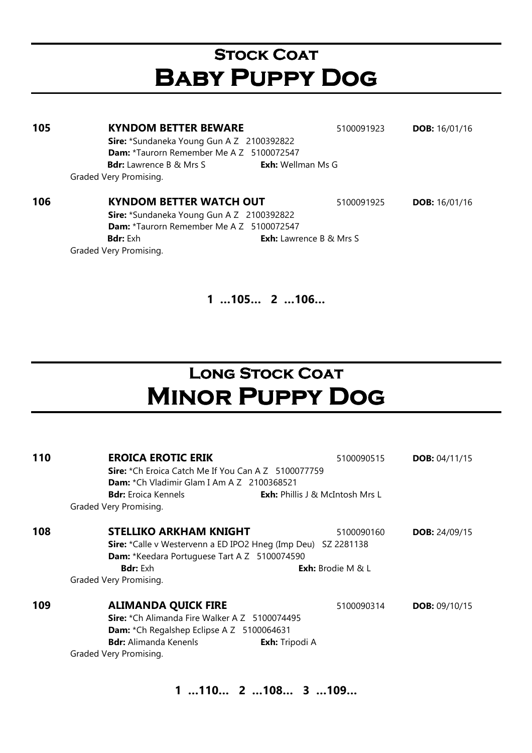# **STOCK COAT** Baby Puppy Dog

| 105 | <b>KYNDOM BETTER BEWARE</b>                      | 5100091923                     | <b>DOB:</b> $16/01/16$ |
|-----|--------------------------------------------------|--------------------------------|------------------------|
|     | <b>Sire:</b> *Sundaneka Young Gun A Z 2100392822 |                                |                        |
|     | <b>Dam:</b> *Taurorn Remember Me A Z 5100072547  |                                |                        |
|     | <b>Bdr:</b> Lawrence B & Mrs S                   | <b>Exh:</b> Wellman Ms G       |                        |
|     | Graded Very Promising.                           |                                |                        |
|     |                                                  |                                |                        |
| 106 | <b>KYNDOM BETTER WATCH OUT</b>                   | 5100091925                     | <b>DOB:</b> $16/01/16$ |
|     | Sire: *Sundaneka Young Gun A Z 2100392822        |                                |                        |
|     | <b>Dam:</b> *Taurorn Remember Me A Z 5100072547  |                                |                        |
|     | <b>Bdr:</b> Exh                                  | <b>Exh:</b> Lawrence B & Mrs S |                        |
|     | Graded Very Promising.                           |                                |                        |

### 1 …105… 2 …106…

# Long Stock Coat Minor Puppy Dog

| 110 | <b>EROICA EROTIC ERIK</b>                                     | 5100090515                             | <b>DOB:</b> $04/11/15$ |  |  |
|-----|---------------------------------------------------------------|----------------------------------------|------------------------|--|--|
|     | Sire: *Ch Eroica Catch Me If You Can A Z 5100077759           |                                        |                        |  |  |
|     | <b>Dam:</b> *Ch Vladimir Glam I Am A Z 2100368521             |                                        |                        |  |  |
|     | <b>Bdr:</b> Eroica Kennels                                    | <b>Exh:</b> Phillis J & McIntosh Mrs L |                        |  |  |
|     | Graded Very Promising.                                        |                                        |                        |  |  |
| 108 | <b>STELLIKO ARKHAM KNIGHT</b>                                 | 5100090160                             | <b>DOB:</b> $24/09/15$ |  |  |
|     | Sire: *Calle v Westervenn a ED IPO2 Hneg (Imp Deu) SZ 2281138 |                                        |                        |  |  |
|     | Dam: *Keedara Portuguese Tart A Z 5100074590                  |                                        |                        |  |  |
|     | <b>Bdr:</b> Exh                                               | <b>Exh:</b> Brodie M & L               |                        |  |  |
|     | Graded Very Promising.                                        |                                        |                        |  |  |
| 109 | <b>ALIMANDA QUICK FIRE</b>                                    | 5100090314                             | <b>DOB:</b> $09/10/15$ |  |  |
|     | Sire: *Ch Alimanda Fire Walker A Z 5100074495                 |                                        |                        |  |  |
|     | <b>Dam:</b> *Ch Regalshep Eclipse A Z 5100064631              |                                        |                        |  |  |
|     | <b>Bdr:</b> Alimanda Kenenls<br><b>Exh:</b> Tripodi A         |                                        |                        |  |  |
|     | Graded Very Promising.                                        |                                        |                        |  |  |

1 …110… 2 …108… 3 …109…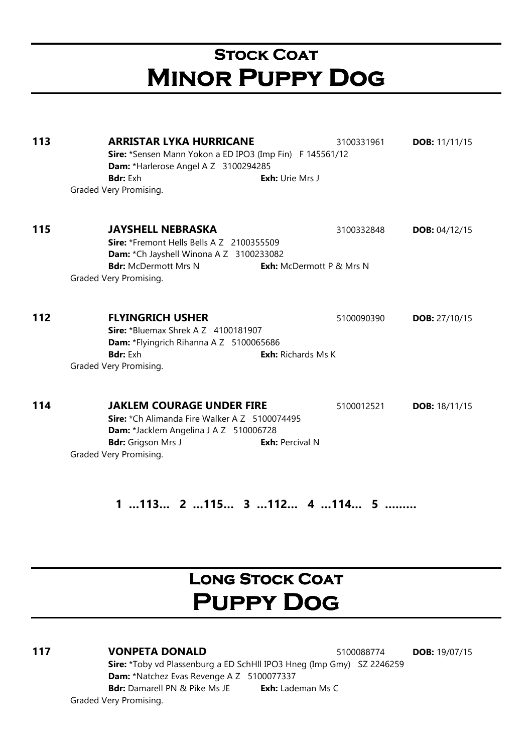# **STOCK COAT** Minor Puppy Dog

**113 ARRISTAR LYKA HURRICANE** 3100331961 **DOB:** 11/11/15 Sire: \*Sensen Mann Yokon a ED IPO3 (Imp Fin) F 145561/12 Dam: \*Harlerose Angel A Z 3100294285 **Bdr:** Exh **Exh:** Urie Mrs J Graded Very Promising. 115 JAYSHELL NEBRASKA 3100332848 DOB: 04/12/15 Sire: \*Fremont Hells Bells A Z 2100355509 Dam: \*Ch Jayshell Winona A Z 3100233082 **Bdr:** McDermott Mrs N **Exh:** McDermott P & Mrs N Graded Very Promising. **112 FLYINGRICH USHER 5100090390 DOB: 27/10/15** Sire: \*Bluemax Shrek A Z 4100181907 Dam: \*Flyingrich Rihanna A Z 5100065686 **Bdr:** Exh **Exh:** Richards Ms K Graded Very Promising. **114 JAKLEM COURAGE UNDER FIRE** 5100012521 **DOB:** 18/11/15 Sire: \*Ch Alimanda Fire Walker A Z 5100074495 Dam: \*Jacklem Angelina J A Z 510006728 Bdr: Grigson Mrs J Exh: Percival N Graded Very Promising.

1 …113… 2 …115… 3 …112… 4 …114… 5 ………

# **LONG STOCK COAT** Puppy Dog

### 117 VONPETA DONALD 5100088774 DOB: 19/07/15

Sire: \*Toby vd Plassenburg a ED SchHll IPO3 Hneg (Imp Gmy) SZ 2246259 Dam: \*Natchez Evas Revenge A Z 5100077337 Bdr: Damarell PN & Pike Ms JE Exh: Lademan Ms C

Graded Very Promising.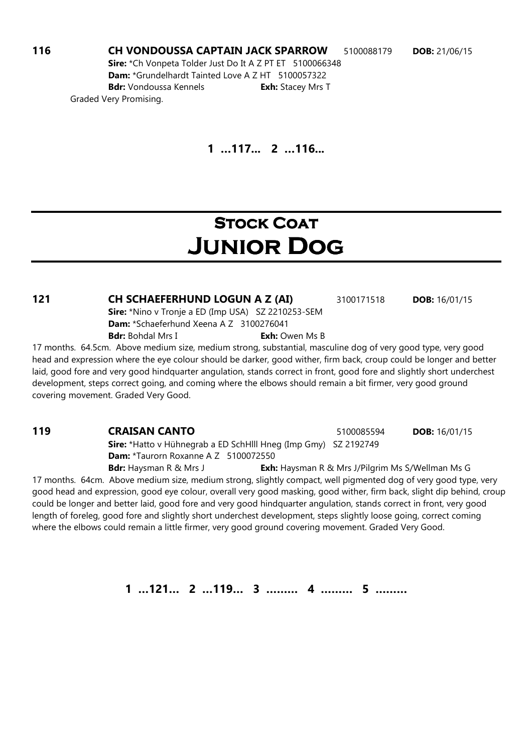116 CH VONDOUSSA CAPTAIN JACK SPARROW 5100088179 DOB: 21/06/15 Sire: \*Ch Vonpeta Tolder Just Do It A Z PT ET 5100066348 Dam: \*Grundelhardt Tainted Love A Z HT 5100057322 Bdr: Vondoussa Kennels **Exh:** Stacey Mrs T Graded Very Promising.

1 …117... 2 …116...

### **STOCK COAT** Junior Dog

**121 CH SCHAEFERHUND LOGUN A Z (AI)** 3100171518 **DOB:** 16/01/15 Sire: \*Nino v Tronje a ED (Imp USA) SZ 2210253-SEM Dam: \*Schaeferhund Xeena A Z 3100276041 **Bdr:** Bohdal Mrs I **Exh:** Owen Ms B

17 months. 64.5cm. Above medium size, medium strong, substantial, masculine dog of very good type, very good head and expression where the eye colour should be darker, good wither, firm back, croup could be longer and better laid, good fore and very good hindquarter angulation, stands correct in front, good fore and slightly short underchest development, steps correct going, and coming where the elbows should remain a bit firmer, very good ground covering movement. Graded Very Good.

Sire: \*Hatto v Hühnegrab a ED SchHlll Hneg (Imp Gmy) SZ 2192749 Dam: \*Taurorn Roxanne A Z 5100072550

Bdr: Haysman R & Mrs J **Exh:** Haysman R & Mrs J/Pilgrim Ms S/Wellman Ms G 17 months. 64cm. Above medium size, medium strong, slightly compact, well pigmented dog of very good type, very good head and expression, good eye colour, overall very good masking, good wither, firm back, slight dip behind, croup could be longer and better laid, good fore and very good hindquarter angulation, stands correct in front, very good length of foreleg, good fore and slightly short underchest development, steps slightly loose going, correct coming where the elbows could remain a little firmer, very good ground covering movement. Graded Very Good.

1 …121… 2 …119… 3 ……… 4 ……… 5 ………

**119 CRAISAN CANTO** 5100085594 **DOB:** 16/01/15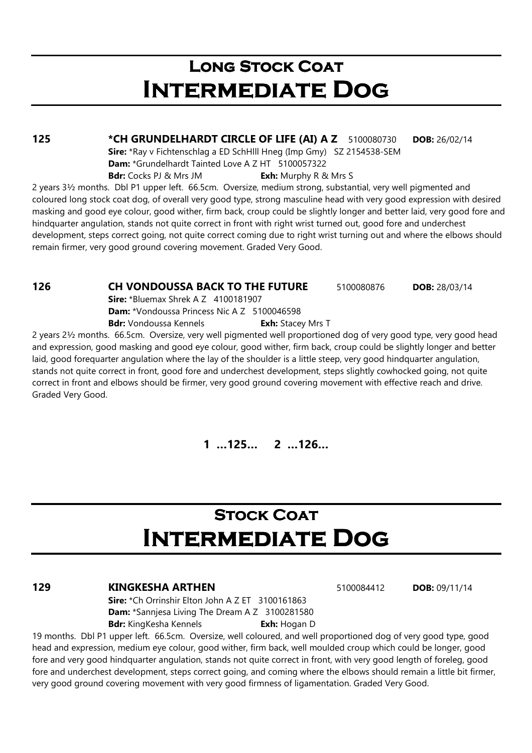# LONG STOCK COAT Intermediate Dog

125 \*CH GRUNDELHARDT CIRCLE OF LIFE (AI) A Z 5100080730 DOB: 26/02/14

Sire: \*Ray v Fichtenschlag a ED SchHlll Hneg (Imp Gmy) SZ 2154538-SEM

Dam: \*Grundelhardt Tainted Love A Z HT 5100057322

**Bdr:** Cocks PJ & Mrs JM **Exh:** Murphy R & Mrs S

2 years 3½ months. Dbl P1 upper left. 66.5cm. Oversize, medium strong, substantial, very well pigmented and coloured long stock coat dog, of overall very good type, strong masculine head with very good expression with desired masking and good eye colour, good wither, firm back, croup could be slightly longer and better laid, very good fore and hindquarter angulation, stands not quite correct in front with right wrist turned out, good fore and underchest development, steps correct going, not quite correct coming due to right wrist turning out and where the elbows should remain firmer, very good ground covering movement. Graded Very Good.

**126 CH VONDOUSSA BACK TO THE FUTURE** 5100080876 DOB: 28/03/14

Sire: \*Bluemax Shrek A Z 4100181907

Dam: \*Vondoussa Princess Nic A Z 5100046598

Bdr: Vondoussa Kennels **Exh:** Stacey Mrs T

2 years 2½ months. 66.5cm. Oversize, very well pigmented well proportioned dog of very good type, very good head and expression, good masking and good eye colour, good wither, firm back, croup could be slightly longer and better laid, good forequarter angulation where the lay of the shoulder is a little steep, very good hindquarter angulation, stands not quite correct in front, good fore and underchest development, steps slightly cowhocked going, not quite correct in front and elbows should be firmer, very good ground covering movement with effective reach and drive. Graded Very Good.

1 …125… 2 …126…

# **STOCK COAT** Intermediate Dog

### **129 KINGKESHA ARTHEN 5100084412 DOB: 09/11/14**

Sire: \*Ch Orrinshir Elton John A Z ET 3100161863 Dam: \*Sannjesa Living The Dream A Z 3100281580 Bdr: KingKesha Kennels **Exh:** Hogan D

19 months. Dbl P1 upper left. 66.5cm. Oversize, well coloured, and well proportioned dog of very good type, good head and expression, medium eye colour, good wither, firm back, well moulded croup which could be longer, good fore and very good hindquarter angulation, stands not quite correct in front, with very good length of foreleg, good fore and underchest development, steps correct going, and coming where the elbows should remain a little bit firmer, very good ground covering movement with very good firmness of ligamentation. Graded Very Good.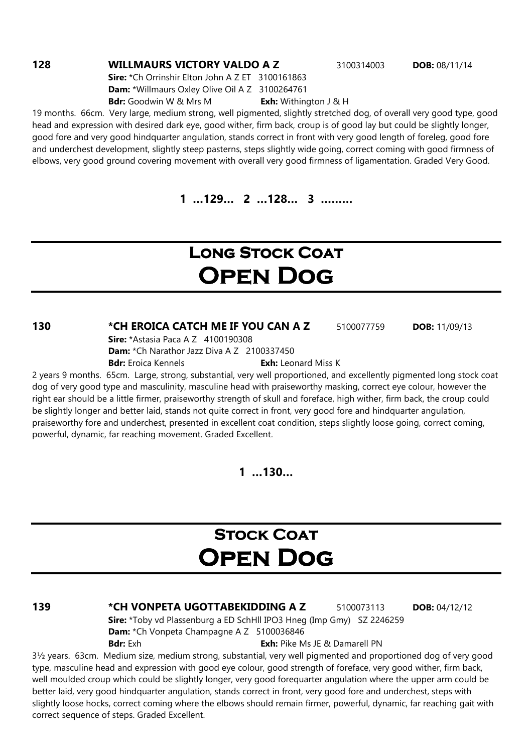### **128 WILLMAURS VICTORY VALDO A Z 3100314003 DOB: 08/11/14**

Sire: \*Ch Orrinshir Elton John A Z ET 3100161863 Dam: \*Willmaurs Oxley Olive Oil A Z 3100264761 **Bdr:** Goodwin W & Mrs M **Exh:** Withington J & H

19 months. 66cm. Very large, medium strong, well pigmented, slightly stretched dog, of overall very good type, good head and expression with desired dark eye, good wither, firm back, croup is of good lay but could be slightly longer, good fore and very good hindquarter angulation, stands correct in front with very good length of foreleg, good fore and underchest development, slightly steep pasterns, steps slightly wide going, correct coming with good firmness of elbows, very good ground covering movement with overall very good firmness of ligamentation. Graded Very Good.

1 …129… 2 …128… 3 ………

# LONG STOCK COAT Open Dog

130 \*CH EROICA CATCH ME IF YOU CAN A Z 5100077759 DOB: 11/09/13

Sire: \*Astasia Paca A Z 4100190308

Dam: \*Ch Narathor Jazz Diva A Z 2100337450

**Bdr:** Eroica Kennels **Exh:** Leonard Miss K

2 years 9 months. 65cm. Large, strong, substantial, very well proportioned, and excellently pigmented long stock coat dog of very good type and masculinity, masculine head with praiseworthy masking, correct eye colour, however the right ear should be a little firmer, praiseworthy strength of skull and foreface, high wither, firm back, the croup could be slightly longer and better laid, stands not quite correct in front, very good fore and hindquarter angulation, praiseworthy fore and underchest, presented in excellent coat condition, steps slightly loose going, correct coming, powerful, dynamic, far reaching movement. Graded Excellent.

 $1...130...$ 

# **STOCK COAT** Open Dog

139 **\*CH VONPETA UGOTTABEKIDDING A Z** 5100073113 **DOB:** 04/12/12

Sire: \*Toby vd Plassenburg a ED SchHll IPO3 Hneg (Imp Gmy) SZ 2246259 Dam: \*Ch Vonpeta Champagne A Z 5100036846 **Bdr:** Exh: Pike Ms JE & Damarell PN

3½ years. 63cm. Medium size, medium strong, substantial, very well pigmented and proportioned dog of very good type, masculine head and expression with good eye colour, good strength of foreface, very good wither, firm back, well moulded croup which could be slightly longer, very good forequarter angulation where the upper arm could be better laid, very good hindquarter angulation, stands correct in front, very good fore and underchest, steps with slightly loose hocks, correct coming where the elbows should remain firmer, powerful, dynamic, far reaching gait with correct sequence of steps. Graded Excellent.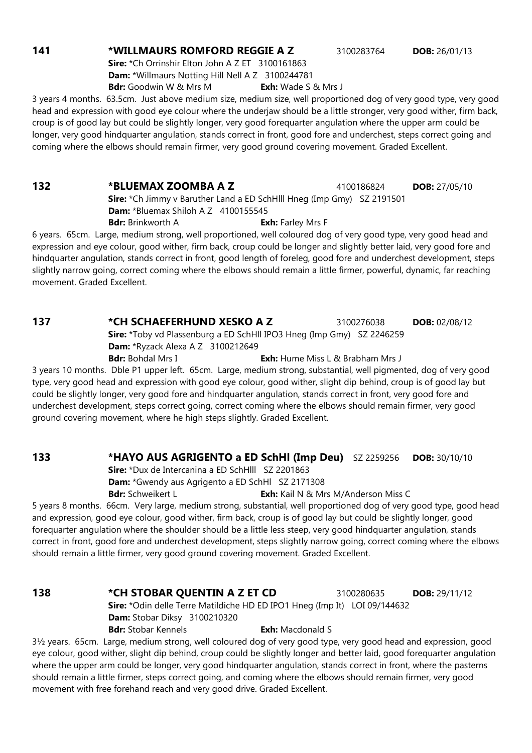#### **141 \*WILLMAURS ROMFORD REGGIE A Z** 3100283764 **DOB:** 26/01/13

Sire: \*Ch Orrinshir Elton John A Z ET 3100161863 Dam: \*Willmaurs Notting Hill Nell A Z 3100244781

Bdr: Goodwin W & Mrs M Exh: Wade S & Mrs J

3 years 4 months. 63.5cm. Just above medium size, medium size, well proportioned dog of very good type, very good head and expression with good eye colour where the underjaw should be a little stronger, very good wither, firm back, croup is of good lay but could be slightly longer, very good forequarter angulation where the upper arm could be longer, very good hindquarter angulation, stands correct in front, good fore and underchest, steps correct going and coming where the elbows should remain firmer, very good ground covering movement. Graded Excellent.

132 \* **BLUEMAX ZOOMBA A Z** 4100186824 **DOB:** 27/05/10

Sire: \*Ch Jimmy v Baruther Land a ED SchHlll Hneg (Imp Gmy) SZ 2191501 Dam: \*Bluemax Shiloh A Z 4100155545

**Bdr:** Brinkworth A **Exh:** Farley Mrs F

6 years. 65cm. Large, medium strong, well proportioned, well coloured dog of very good type, very good head and expression and eye colour, good wither, firm back, croup could be longer and slightly better laid, very good fore and hindquarter angulation, stands correct in front, good length of foreleg, good fore and underchest development, steps slightly narrow going, correct coming where the elbows should remain a little firmer, powerful, dynamic, far reaching movement. Graded Excellent.

Sire: \*Toby vd Plassenburg a ED SchHll IPO3 Hneg (Imp Gmy) SZ 2246259 Dam: \*Ryzack Alexa A Z 3100212649

**Bdr:** Bohdal Mrs I **Exh:** Hume Miss L & Brabham Mrs J

3 years 10 months. Dble P1 upper left. 65cm. Large, medium strong, substantial, well pigmented, dog of very good type, very good head and expression with good eye colour, good wither, slight dip behind, croup is of good lay but could be slightly longer, very good fore and hindquarter angulation, stands correct in front, very good fore and underchest development, steps correct going, correct coming where the elbows should remain firmer, very good ground covering movement, where he high steps slightly. Graded Excellent.

### 133 \*HAYO AUS AGRIGENTO a ED SchHl (Imp Deu) SZ 2259256 DOB: 30/10/10

Sire: \*Dux de Intercanina a ED SchHlll SZ 2201863

Dam: \*Gwendy aus Agrigento a ED SchHl SZ 2171308

Bdr: Schweikert L<br>
Exh: Kail N & Mrs M/Anderson Miss C

5 years 8 months. 66cm. Very large, medium strong, substantial, well proportioned dog of very good type, good head and expression, good eye colour, good wither, firm back, croup is of good lay but could be slightly longer, good forequarter angulation where the shoulder should be a little less steep, very good hindquarter angulation, stands correct in front, good fore and underchest development, steps slightly narrow going, correct coming where the elbows should remain a little firmer, very good ground covering movement. Graded Excellent.

### **138 \*CH STOBAR QUENTIN A Z ET CD** 3100280635 **DOB:** 29/11/12 Sire: \*Odin delle Terre Matildiche HD ED IPO1 Hneg (Imp It) LOI 09/144632 Dam: Stobar Diksy 3100210320 Bdr: Stobar Kennels **Exh:** Macdonald S

3½ years. 65cm. Large, medium strong, well coloured dog of very good type, very good head and expression, good eye colour, good wither, slight dip behind, croup could be slightly longer and better laid, good forequarter angulation where the upper arm could be longer, very good hindquarter angulation, stands correct in front, where the pasterns should remain a little firmer, steps correct going, and coming where the elbows should remain firmer, very good movement with free forehand reach and very good drive. Graded Excellent.

**137 \*CH SCHAEFERHUND XESKO A Z 3100276038 DOB: 02/08/12**